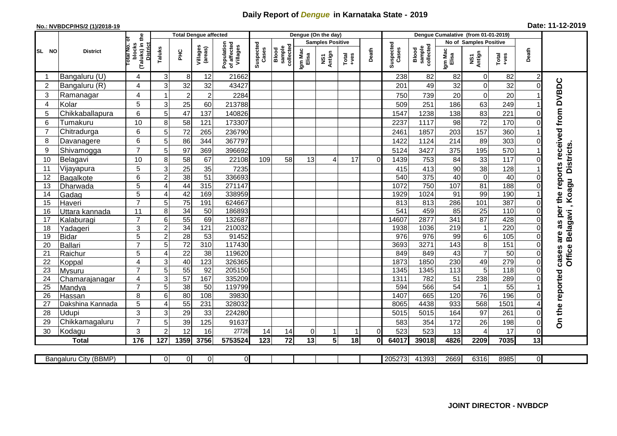## **Daily Report of** *Dengue* **in Karnataka State - 2019**

## **No.: NVBDCP/HS/2 (1)/2018-19 Date: 11-12-2019**

|                |                       |                                                             |                       | <b>Total Dengue affected</b> |                     |                                       |                    |                              |                  | Dengue (On the day)     |                                                                                                                                                                                                                                                                                                                                                                                                             |          |                    |                              |                  |                        |                  |                |                                        |
|----------------|-----------------------|-------------------------------------------------------------|-----------------------|------------------------------|---------------------|---------------------------------------|--------------------|------------------------------|------------------|-------------------------|-------------------------------------------------------------------------------------------------------------------------------------------------------------------------------------------------------------------------------------------------------------------------------------------------------------------------------------------------------------------------------------------------------------|----------|--------------------|------------------------------|------------------|------------------------|------------------|----------------|----------------------------------------|
|                |                       |                                                             |                       |                              |                     |                                       |                    |                              |                  | <b>Samples Positive</b> |                                                                                                                                                                                                                                                                                                                                                                                                             |          |                    |                              |                  | No of Samples Positive |                  |                |                                        |
| SL NO          | <b>District</b>       | (Taluks) in the<br>otal No. of<br>blocks<br><b>District</b> | Taluks                | ĔБ                           | Villages<br>(areas) | Population<br>of affected<br>Villages | Suspected<br>Cases | sample<br>collected<br>Blood | Igm Mac<br>Elisa | NS1<br>Antign           | $\begin{array}{c}\n\text{Total} \\ \text{1-4} \\ \text{1-4} \\ \text{1-4} \\ \text{1-4} \\ \text{1-4} \\ \text{1-4} \\ \text{1-4} \\ \text{1-4} \\ \text{1-4} \\ \text{1-4} \\ \text{1-4} \\ \text{1-4} \\ \text{1-4} \\ \text{1-4} \\ \text{1-4} \\ \text{1-4} \\ \text{1-4} \\ \text{1-4} \\ \text{1-4} \\ \text{1-4} \\ \text{1-4} \\ \text{1-4} \\ \text{1-4} \\ \text{1-4} \\ \text{1-4} \\ \text{1-4$ | Death    | Suspected<br>Cases | sample<br>collected<br>Blood | Igm Mac<br>Elisa | NS1<br>Antign          | Total<br>+ves    | Death          |                                        |
| -1             | Bangaluru (U)         | 4                                                           | 3                     | 8 <sup>1</sup>               | 12                  | 21662                                 |                    |                              |                  |                         |                                                                                                                                                                                                                                                                                                                                                                                                             |          | 238                | 82                           | 82               | $\mathbf 0$            | 82               | 2              |                                        |
| $\overline{2}$ | Bangaluru (R)         | 4                                                           | 3                     | 32                           | 32                  | 43427                                 |                    |                              |                  |                         |                                                                                                                                                                                                                                                                                                                                                                                                             |          | 201                | 49                           | 32               | $\mathbf 0$            | 32               |                |                                        |
| 3              | Ramanagar             | 4                                                           | 1                     | $\overline{2}$               | $\overline{2}$      | 2284                                  |                    |                              |                  |                         |                                                                                                                                                                                                                                                                                                                                                                                                             |          | 750                | 739                          | 20               | $\mathbf 0$            | 20               |                | as per the reports received from DVBDC |
| 4              | Kolar                 | 5                                                           | 3                     | 25                           | 60                  | 213788                                |                    |                              |                  |                         |                                                                                                                                                                                                                                                                                                                                                                                                             |          | 509                | 251                          | 186              | 63                     | 249              |                |                                        |
| 5              | Chikkaballapura       | 6                                                           | 5                     | 47                           | 137                 | 140826                                |                    |                              |                  |                         |                                                                                                                                                                                                                                                                                                                                                                                                             |          | 1547               | 1238                         | 138              | 83                     | 221              | 0              |                                        |
| 6              | Tumakuru              | 10                                                          | 8                     | 58                           | 121                 | 173307                                |                    |                              |                  |                         |                                                                                                                                                                                                                                                                                                                                                                                                             |          | 2237               | 1117                         | 98               | 72                     | 170              | 0              |                                        |
| $\overline{7}$ | Chitradurga           | 6                                                           | 5 <sup>5</sup>        | 72                           | 265                 | 236790                                |                    |                              |                  |                         |                                                                                                                                                                                                                                                                                                                                                                                                             |          | 2461               | 1857                         | 203              | 157                    | 360              |                |                                        |
| 8              | Davanagere            | 6                                                           | 5                     | 86                           | 344                 | 367797                                |                    |                              |                  |                         |                                                                                                                                                                                                                                                                                                                                                                                                             |          | 1422               | 1124                         | 214              | 89                     | 303              | $\Omega$       |                                        |
| 9              | Shivamogga            | $\overline{7}$                                              | 5                     | 97                           | 369                 | 396692                                |                    |                              |                  |                         |                                                                                                                                                                                                                                                                                                                                                                                                             |          | 5124               | 3427                         | 375              | 195                    | 570              |                | <b>Districts</b>                       |
| 10             | Belagavi              | 10                                                          | 8                     | 58                           | 67                  | 22108                                 | 109                | 58                           | 13               | 4                       | 17                                                                                                                                                                                                                                                                                                                                                                                                          | $\Omega$ | 1439               | 753                          | 84               | 33                     | 117              |                |                                        |
| 11             | Vijayapura            | 5                                                           | 3                     | 25                           | 35                  | 7235                                  |                    |                              |                  |                         |                                                                                                                                                                                                                                                                                                                                                                                                             |          | 415                | 413                          | 90               | 38                     | 128              |                |                                        |
| 12             | Bagalkote             | 6                                                           | $\overline{2}$        | 38                           | 51                  | 336693                                |                    |                              |                  |                         |                                                                                                                                                                                                                                                                                                                                                                                                             |          | 540                | 375                          | 40               | $\overline{0}$         | 40               | $\Omega$       |                                        |
| 13             | Dharwada              | 5                                                           | $\boldsymbol{\Delta}$ | 44                           | 315                 | 271147                                |                    |                              |                  |                         |                                                                                                                                                                                                                                                                                                                                                                                                             |          | 1072               | 750                          | 107              | 81                     | 188              |                | Belagavi, Koagu                        |
| 14             | Gadag                 | $\overline{5}$                                              | ⊿                     | 42                           | 169                 | 338959                                |                    |                              |                  |                         |                                                                                                                                                                                                                                                                                                                                                                                                             |          | 1929               | 1024                         | $\overline{91}$  | 99                     | 190              |                |                                        |
| 15             | Haveri                | $\overline{7}$                                              | 5                     | 75                           | 191                 | 624667                                |                    |                              |                  |                         |                                                                                                                                                                                                                                                                                                                                                                                                             |          | 813                | 813                          | 286              | 101                    | 387              | 0              |                                        |
| 16             | Uttara kannada        | $\overline{11}$                                             | 8                     | 34                           | $\overline{50}$     | 186893                                |                    |                              |                  |                         |                                                                                                                                                                                                                                                                                                                                                                                                             |          | 541                | 459                          | 85               | 25                     | 110              |                |                                        |
| 17             | Kalaburagi            | $\overline{7}$                                              | 6                     | 55                           | 69                  | 132687                                |                    |                              |                  |                         |                                                                                                                                                                                                                                                                                                                                                                                                             |          | 14607              | 2877                         | $\overline{341}$ | $\overline{87}$        | 428              |                |                                        |
| 18             | Yadageri              | 3                                                           | $\overline{c}$        | 34                           | 121                 | 210032                                |                    |                              |                  |                         |                                                                                                                                                                                                                                                                                                                                                                                                             |          | 1938               | 1036                         | 219              | $\mathbf{1}$           | 220              |                |                                        |
| 19             | <b>Bidar</b>          | 5                                                           | $\overline{c}$        | $\overline{28}$              | 53                  | 91452                                 |                    |                              |                  |                         |                                                                                                                                                                                                                                                                                                                                                                                                             |          | 976                | 976                          | 99               | 6                      | 105              | $\Omega$       | are                                    |
| 20             | <b>Ballari</b>        | $\overline{7}$                                              | 5                     | 72                           | 310                 | 117430                                |                    |                              |                  |                         |                                                                                                                                                                                                                                                                                                                                                                                                             |          | 3693               | 3271                         | 143              | $\overline{8}$         | 151              |                |                                        |
| 21             | Raichur               | $\overline{5}$                                              | 4                     | $\overline{22}$              | $\overline{38}$     | 119620                                |                    |                              |                  |                         |                                                                                                                                                                                                                                                                                                                                                                                                             |          | 849                | 849                          | $\overline{43}$  | $\overline{7}$         | 50               | $\Omega$       | <b>Office</b><br>cases                 |
| 22             | Koppal                | 4                                                           | 3                     | 40                           | 123                 | 326365                                |                    |                              |                  |                         |                                                                                                                                                                                                                                                                                                                                                                                                             |          | 1873               | 1850                         | 230              | 49                     | 279              | $\Omega$       |                                        |
| 23             | Mysuru                | $\overline{7}$                                              | 5                     | 55                           | 92                  | 205150                                |                    |                              |                  |                         |                                                                                                                                                                                                                                                                                                                                                                                                             |          | 1345               | 1345                         | 113              | 5                      | $\overline{118}$ | 0              |                                        |
| 24             | Chamarajanagar        | 4                                                           | 3                     | 57                           | 167                 | 335209                                |                    |                              |                  |                         |                                                                                                                                                                                                                                                                                                                                                                                                             |          | 1311               | 782                          | 51               | 238                    | 289              |                |                                        |
| 25             | Mandya                | $\overline{7}$                                              | 5                     | $\overline{38}$              | 50                  | 119799                                |                    |                              |                  |                         |                                                                                                                                                                                                                                                                                                                                                                                                             |          | 594                | 566                          | $\overline{54}$  | $\mathbf{1}$           | $\overline{55}$  |                |                                        |
| 26             | Hassan                | 8                                                           | 6                     | 80                           | 108<br>231          | 39830                                 |                    |                              |                  |                         |                                                                                                                                                                                                                                                                                                                                                                                                             |          | 1407               | 665                          | 120<br>933       | $\overline{76}$        | 196<br>1501      |                |                                        |
| 27             | Dakshina Kannada      | 5                                                           | 4                     | 55                           |                     | 328032                                |                    |                              |                  |                         |                                                                                                                                                                                                                                                                                                                                                                                                             |          | 8065               | 4438                         |                  | 568                    |                  |                | On the reported                        |
| 28             | Udupi                 | 3<br>$\overline{7}$                                         | 3                     | 29                           | 33                  | 224280                                |                    |                              |                  |                         |                                                                                                                                                                                                                                                                                                                                                                                                             |          | 5015               | 5015                         | 164              | 97                     | 261              | 0              |                                        |
| 29<br>30       | Chikkamagaluru        | 3                                                           | 5<br>$\overline{2}$   | 39<br>12                     | 125<br>16           | 91637<br>27726                        | 14                 | 14                           | $\Omega$         | 1                       |                                                                                                                                                                                                                                                                                                                                                                                                             | $\Omega$ | 583<br>523         | 354<br>523                   | 172<br>13        | 26<br>4                | 198<br>17        | 0<br>$\Omega$  |                                        |
|                | Kodagu                | 176                                                         |                       |                              |                     |                                       |                    |                              |                  | 5 <sup>1</sup>          | 18                                                                                                                                                                                                                                                                                                                                                                                                          |          |                    |                              |                  |                        |                  |                |                                        |
|                | <b>Total</b>          |                                                             | 127                   | 1359                         | 3756                | 5753524                               | 123                | 72                           | 13               |                         |                                                                                                                                                                                                                                                                                                                                                                                                             | 0l       | 64017              | 39018                        | 4826             | 2209                   | 7035             | 13             |                                        |
|                | Bangaluru City (BBMP) |                                                             | $\overline{0}$        | 0                            | $\overline{0}$      | $\overline{0}$                        |                    |                              |                  |                         |                                                                                                                                                                                                                                                                                                                                                                                                             |          | 205273             | 41393                        | 2669             | 6316                   | 8985             | $\overline{0}$ |                                        |